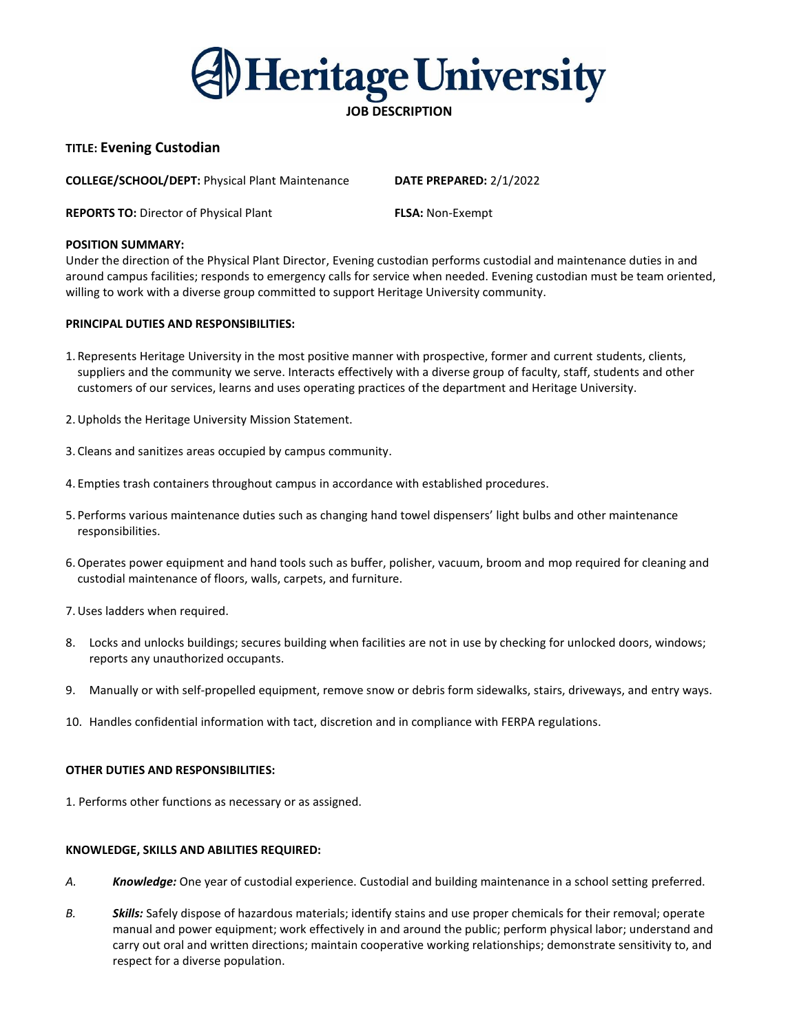Heritage University

# **JOB DESCRIPTION**

# **TITLE: Evening Custodian**

**COLLEGE/SCHOOL/DEPT:** Physical Plant Maintenance **DATE PREPARED:** 2/1/2022

**REPORTS TO:** Director of Physical Plant **FLSA:** Non-Exempt

### **POSITION SUMMARY:**

Under the direction of the Physical Plant Director, Evening custodian performs custodial and maintenance duties in and around campus facilities; responds to emergency calls for service when needed. Evening custodian must be team oriented, willing to work with a diverse group committed to support Heritage University community.

## **PRINCIPAL DUTIES AND RESPONSIBILITIES:**

- 1. Represents Heritage University in the most positive manner with prospective, former and current students, clients, suppliers and the community we serve. Interacts effectively with a diverse group of faculty, staff, students and other customers of our services, learns and uses operating practices of the department and Heritage University.
- 2.Upholds the Heritage University Mission Statement.
- 3. Cleans and sanitizes areas occupied by campus community.
- 4. Empties trash containers throughout campus in accordance with established procedures.
- 5. Performs various maintenance duties such as changing hand towel dispensers' light bulbs and other maintenance responsibilities.
- 6.Operates power equipment and hand tools such as buffer, polisher, vacuum, broom and mop required for cleaning and custodial maintenance of floors, walls, carpets, and furniture.
- 7.Uses ladders when required.
- 8. Locks and unlocks buildings; secures building when facilities are not in use by checking for unlocked doors, windows; reports any unauthorized occupants.
- 9. Manually or with self-propelled equipment, remove snow or debris form sidewalks, stairs, driveways, and entry ways.
- 10. Handles confidential information with tact, discretion and in compliance with FERPA regulations.

#### **OTHER DUTIES AND RESPONSIBILITIES:**

1. Performs other functions as necessary or as assigned.

#### **KNOWLEDGE, SKILLS AND ABILITIES REQUIRED:**

- *A. Knowledge:* One year of custodial experience. Custodial and building maintenance in a school setting preferred.
- *B. Skills:* Safely dispose of hazardous materials; identify stains and use proper chemicals for their removal; operate manual and power equipment; work effectively in and around the public; perform physical labor; understand and carry out oral and written directions; maintain cooperative working relationships; demonstrate sensitivity to, and respect for a diverse population.